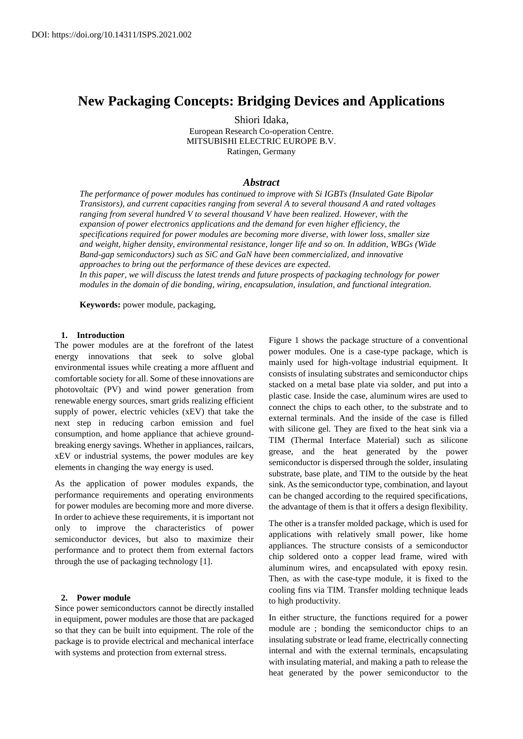# **New Packaging Concepts: Bridging Devices and Applications**

Shiori Idaka, European Research Co-operation Centre. MITSUBISHI ELECTRIC EUROPE B.V. Ratingen, Germany

# *Abstract*

*The performance of power modules has continued to improve with Si IGBTs (Insulated Gate Bipolar Transistors), and current capacities ranging from several A to several thousand A and rated voltages ranging from several hundred V to several thousand V have been realized. However, with the expansion of power electronics applications and the demand for even higher efficiency, the specifications required for power modules are becoming more diverse, with lower loss, smaller size and weight, higher density, environmental resistance, longer life and so on. In addition, WBGs (Wide Band-gap semiconductors) such as SiC and GaN have been commercialized, and innovative approaches to bring out the performance of these devices are expected. In this paper, we will discuss the latest trends and future prospects of packaging technology for power modules in the domain of die bonding, wiring, encapsulation, insulation, and functional integration.*

**Keywords:** power module, packaging,

# **1. Introduction**

The power modules are at the forefront of the latest energy innovations that seek to solve global environmental issues while creating a more affluent and comfortable society for all. Some of these innovations are photovoltaic (PV) and wind power generation from renewable energy sources, smart grids realizing efficient supply of power, electric vehicles (xEV) that take the next step in reducing carbon emission and fuel consumption, and home appliance that achieve groundbreaking energy savings. Whether in appliances, railcars, xEV or industrial systems, the power modules are key elements in changing the way energy is used.

As the application of power modules expands, the performance requirements and operating environments for power modules are becoming more and more diverse. In order to achieve these requirements, it is important not only to improve the characteristics of power semiconductor devices, but also to maximize their performance and to protect them from external factors through the use of packaging technology [1].

#### **2. Power module**

Since power semiconductors cannot be directly installed in equipment, power modules are those that are packaged so that they can be built into equipment. The role of the package is to provide electrical and mechanical interface with systems and protection from external stress.

Figure 1 shows the package structure of a conventional power modules. One is a case-type package, which is mainly used for high-voltage industrial equipment. It consists of insulating substrates and semiconductor chips stacked on a metal base plate via solder, and put into a plastic case. Inside the case, aluminum wires are used to connect the chips to each other, to the substrate and to external terminals. And the inside of the case is filled with silicone gel. They are fixed to the heat sink via a TIM (Thermal Interface Material) such as silicone grease, and the heat generated by the power semiconductor is dispersed through the solder, insulating substrate, base plate, and TIM to the outside by the heat sink. As the semiconductor type, combination, and layout can be changed according to the required specifications, the advantage of them is that it offers a design flexibility.

The other is a transfer molded package, which is used for applications with relatively small power, like home appliances. The structure consists of a semiconductor chip soldered onto a copper lead frame, wired with aluminum wires, and encapsulated with epoxy resin. Then, as with the case-type module, it is fixed to the cooling fins via TIM. Transfer molding technique leads to high productivity.

In either structure, the functions required for a power module are ; bonding the semiconductor chips to an insulating substrate or lead frame, electrically connecting internal and with the external terminals, encapsulating with insulating material, and making a path to release the heat generated by the power semiconductor to the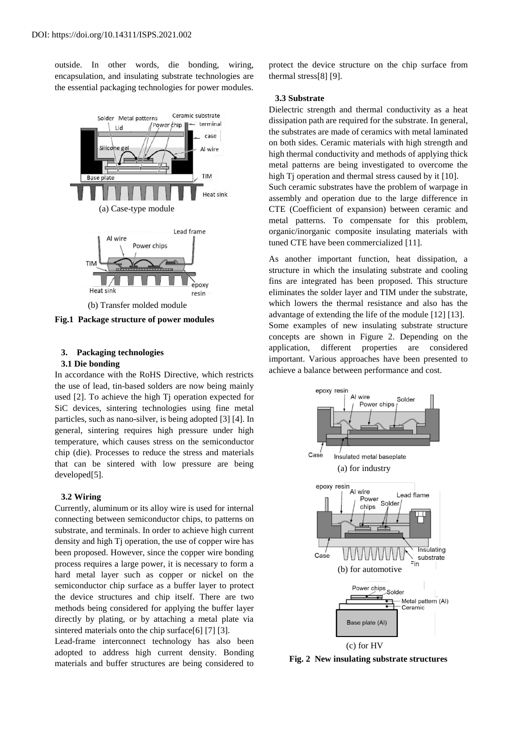outside. In other words, die bonding, wiring, encapsulation, and insulating substrate technologies are the essential packaging technologies for power modules.



**Fig.1 Package structure of power modules**

# **3. Packaging technologies**

### **3.1 Die bonding**

In accordance with the RoHS Directive, which restricts the use of lead, tin-based solders are now being mainly used [2]. To achieve the high Tj operation expected for SiC devices, sintering technologies using fine metal particles, such as nano-silver, is being adopted [3] [4]. In general, sintering requires high pressure under high temperature, which causes stress on the semiconductor chip (die). Processes to reduce the stress and materials that can be sintered with low pressure are being developed[5].

# **3.2 Wiring**

Currently, aluminum or its alloy wire is used for internal connecting between semiconductor chips, to patterns on substrate, and terminals. In order to achieve high current density and high Tj operation, the use of copper wire has been proposed. However, since the copper wire bonding process requires a large power, it is necessary to form a hard metal layer such as copper or nickel on the semiconductor chip surface as a buffer layer to protect the device structures and chip itself. There are two methods being considered for applying the buffer layer directly by plating, or by attaching a metal plate via sintered materials onto the chip surface[6] [7] [3].

Lead-frame interconnect technology has also been adopted to address high current density. Bonding materials and buffer structures are being considered to protect the device structure on the chip surface from thermal stress[8] [9].

#### **3.3 Substrate**

Dielectric strength and thermal conductivity as a heat dissipation path are required for the substrate. In general, the substrates are made of ceramics with metal laminated on both sides. Ceramic materials with high strength and high thermal conductivity and methods of applying thick metal patterns are being investigated to overcome the high Tj operation and thermal stress caused by it [10]. Such ceramic substrates have the problem of warpage in assembly and operation due to the large difference in CTE (Coefficient of expansion) between ceramic and metal patterns. To compensate for this problem, organic/inorganic composite insulating materials with tuned CTE have been commercialized [11].

As another important function, heat dissipation, a structure in which the insulating substrate and cooling fins are integrated has been proposed. This structure eliminates the solder layer and TIM under the substrate, which lowers the thermal resistance and also has the advantage of extending the life of the module [12] [13]. Some examples of new insulating substrate structure concepts are shown in Figure 2. Depending on the application, different properties are considered important. Various approaches have been presented to achieve a balance between performance and cost.



**Fig. 2 New insulating substrate structures**